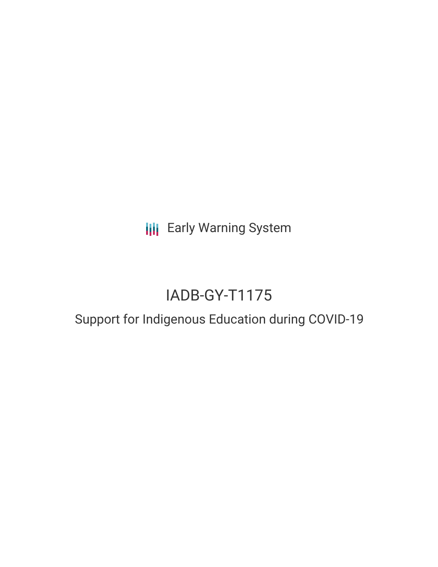**III** Early Warning System

# IADB-GY-T1175

## Support for Indigenous Education during COVID-19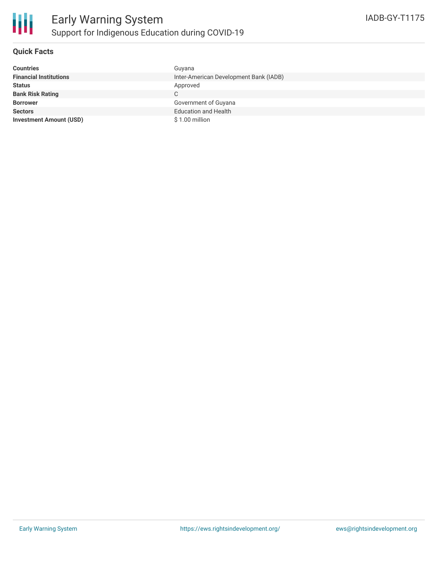

#### **Quick Facts**

| <b>Countries</b>               | Guyana                                 |
|--------------------------------|----------------------------------------|
| <b>Financial Institutions</b>  | Inter-American Development Bank (IADB) |
| <b>Status</b>                  | Approved                               |
| <b>Bank Risk Rating</b>        | C.                                     |
| <b>Borrower</b>                | Government of Guyana                   |
| <b>Sectors</b>                 | <b>Education and Health</b>            |
| <b>Investment Amount (USD)</b> | $$1.00$ million                        |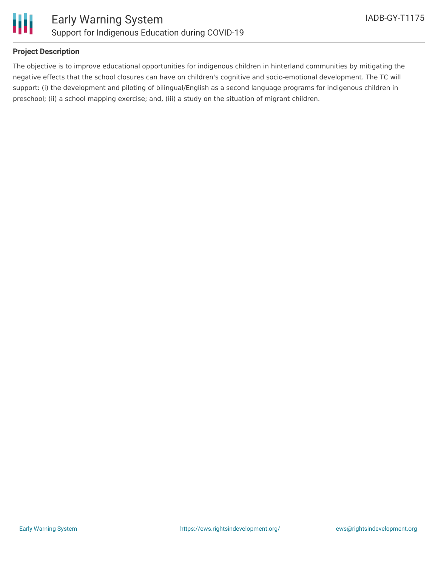

#### **Project Description**

The objective is to improve educational opportunities for indigenous children in hinterland communities by mitigating the negative effects that the school closures can have on children's cognitive and socio-emotional development. The TC will support: (i) the development and piloting of bilingual/English as a second language programs for indigenous children in preschool; (ii) a school mapping exercise; and, (iii) a study on the situation of migrant children.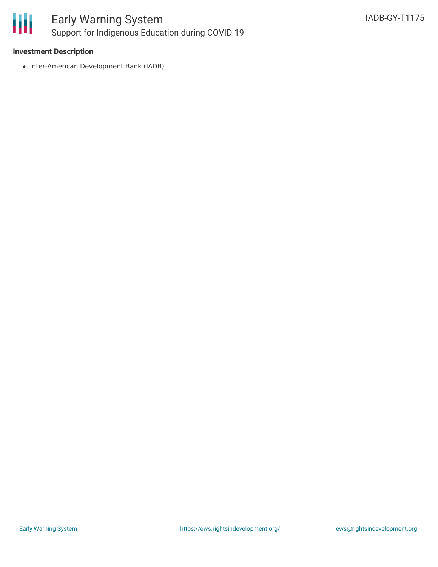

#### **Investment Description**

• Inter-American Development Bank (IADB)